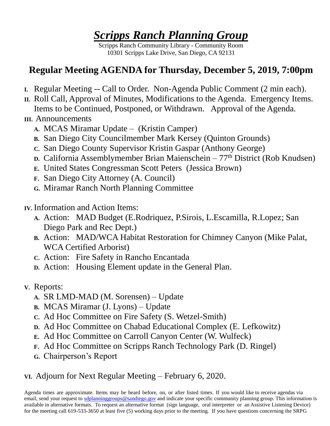## *Scripps Ranch Planning Group*

Scripps Ranch Community Library - Community Room 10301 Scripps Lake Drive, San Diego, CA 92131

## **Regular Meeting AGENDA for Thursday, December 5, 2019, 7:00pm**

- **I.** Regular Meeting -- Call to Order. Non-Agenda Public Comment (2 min each).
- **II.** Roll Call, Approval of Minutes, Modifications to the Agenda. Emergency Items. Items to be Continued, Postponed, or Withdrawn. Approval of the Agenda.
- **III.** Announcements
	- **A.** MCAS Miramar Update (Kristin Camper)
	- **B.** San Diego City Councilmember Mark Kersey (Quinton Grounds)
	- **C.** San Diego County Supervisor Kristin Gaspar (Anthony George)
	- **D.** California Assemblymember Brian Maienschein 77<sup>th</sup> District (Rob Knudsen)
	- **E.** United States Congressman Scott Peters (Jessica Brown)
	- **F.** San Diego City Attorney (A. Council)
	- **G.** Miramar Ranch North Planning Committee
- **IV.** Information and Action Items:
	- **A.** Action: MAD Budget (E.Rodriquez, P.Sirois, L.Escamilla, R.Lopez; San Diego Park and Rec Dept.)
	- **B.** Action: MAD/WCA Habitat Restoration for Chimney Canyon (Mike Palat, WCA Certified Arborist)
	- **C.** Action: Fire Safety in Rancho Encantada
	- **D.** Action: Housing Element update in the General Plan.
- **V.** Reports:
	- **A.** SR LMD-MAD (M. Sorensen) Update
	- **B.** MCAS Miramar (J. Lyons) Update
	- **C.** Ad Hoc Committee on Fire Safety (S. Wetzel-Smith)
	- **D.** Ad Hoc Committee on Chabad Educational Complex (E. Lefkowitz)
	- **E.** Ad Hoc Committee on Carroll Canyon Center (W. Wulfeck)
	- **F.** Ad Hoc Committee on Scripps Ranch Technology Park (D. Ringel)
	- **G.** Chairperson's Report

## **VI.** Adjourn for Next Regular Meeting – February 6, 2020.

Agenda times are approximate. Items may be heard before, on, or after listed times. If you would like to receive agendas via email, send your request to [sdplanninggroups@sandiego.gov](mailto:sdplanninggroups@sandiego.gov) and indicate your specific community planning group. This information is available in alternative formats. To request an alternative format (sign language, oral interpreter or an Assistive Listening Device) for the meeting call 619-533-3650 at least five (5) working days prior to the meeting. If you have questions concerning the SRPG